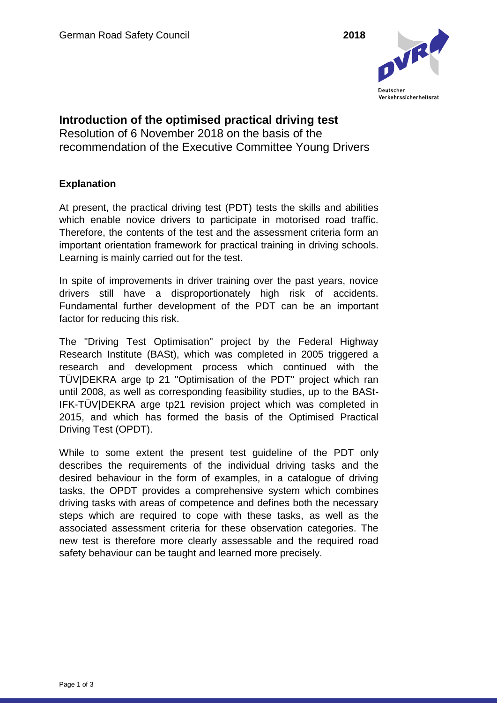

**Introduction of the optimised practical driving test** Resolution of 6 November 2018 on the basis of the recommendation of the Executive Committee Young Drivers

## **Explanation**

At present, the practical driving test (PDT) tests the skills and abilities which enable novice drivers to participate in motorised road traffic. Therefore, the contents of the test and the assessment criteria form an important orientation framework for practical training in driving schools. Learning is mainly carried out for the test.

In spite of improvements in driver training over the past years, novice drivers still have a disproportionately high risk of accidents. Fundamental further development of the PDT can be an important factor for reducing this risk.

The "Driving Test Optimisation" project by the Federal Highway Research Institute (BASt), which was completed in 2005 triggered a research and development process which continued with the TÜV|DEKRA arge tp 21 "Optimisation of the PDT" project which ran until 2008, as well as corresponding feasibility studies, up to the BASt-IFK-TÜV|DEKRA arge tp21 revision project which was completed in 2015, and which has formed the basis of the Optimised Practical Driving Test (OPDT).

While to some extent the present test guideline of the PDT only describes the requirements of the individual driving tasks and the desired behaviour in the form of examples, in a catalogue of driving tasks, the OPDT provides a comprehensive system which combines driving tasks with areas of competence and defines both the necessary steps which are required to cope with these tasks, as well as the associated assessment criteria for these observation categories. The new test is therefore more clearly assessable and the required road safety behaviour can be taught and learned more precisely.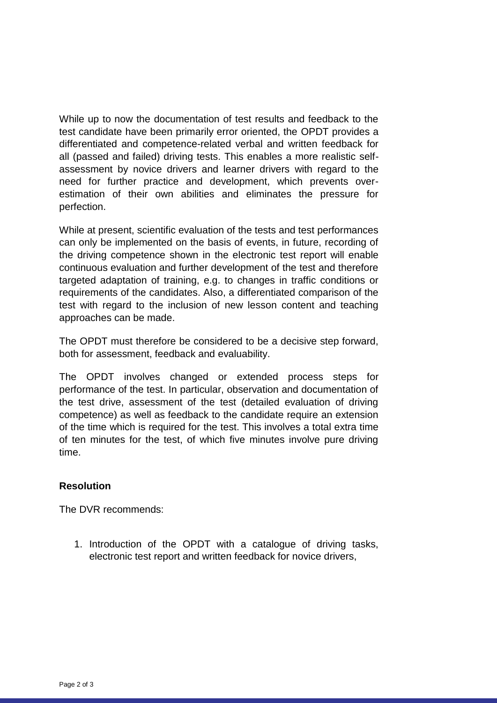While up to now the documentation of test results and feedback to the test candidate have been primarily error oriented, the OPDT provides a differentiated and competence-related verbal and written feedback for all (passed and failed) driving tests. This enables a more realistic selfassessment by novice drivers and learner drivers with regard to the need for further practice and development, which prevents overestimation of their own abilities and eliminates the pressure for perfection.

While at present, scientific evaluation of the tests and test performances can only be implemented on the basis of events, in future, recording of the driving competence shown in the electronic test report will enable continuous evaluation and further development of the test and therefore targeted adaptation of training, e.g. to changes in traffic conditions or requirements of the candidates. Also, a differentiated comparison of the test with regard to the inclusion of new lesson content and teaching approaches can be made.

The OPDT must therefore be considered to be a decisive step forward, both for assessment, feedback and evaluability.

The OPDT involves changed or extended process steps for performance of the test. In particular, observation and documentation of the test drive, assessment of the test (detailed evaluation of driving competence) as well as feedback to the candidate require an extension of the time which is required for the test. This involves a total extra time of ten minutes for the test, of which five minutes involve pure driving time.

## **Resolution**

The DVR recommends:

1. Introduction of the OPDT with a catalogue of driving tasks, electronic test report and written feedback for novice drivers,